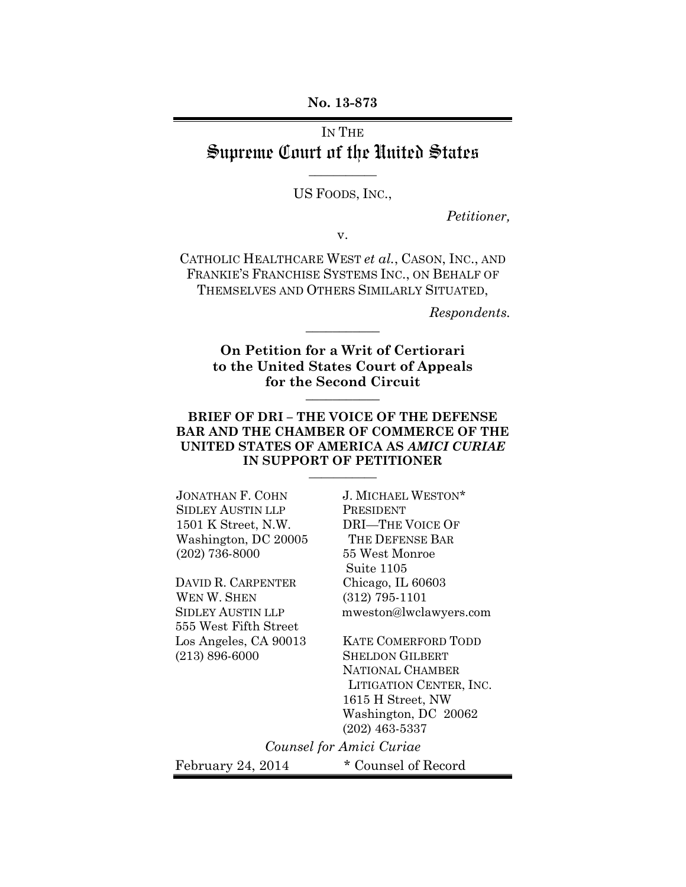**No. 13-873**

# IN THE Supreme Court of the United States

**\_\_\_\_\_\_\_\_\_\_\_**

US FOODS, INC.,

*Petitioner,*

v.

CATHOLIC HEALTHCARE WEST *et al.*, CASON, INC., AND FRANKIE'S FRANCHISE SYSTEMS INC., ON BEHALF OF THEMSELVES AND OTHERS SIMILARLY SITUATED,

*Respondents.*

**On Petition for a Writ of Certiorari to the United States Court of Appeals for the Second Circuit \_\_\_\_\_\_\_\_\_\_\_**

**\_\_\_\_\_\_\_\_\_\_\_**

#### **BRIEF OF DRI – THE VOICE OF THE DEFENSE BAR AND THE CHAMBER OF COMMERCE OF THE UNITED STATES OF AMERICA AS** *AMICI CURIAE* **IN SUPPORT OF PETITIONER \_\_\_\_\_\_\_\_\_\_\_**

JONATHAN F. COHN SIDLEY AUSTIN LLP 1501 K Street, N.W. Washington, DC 20005 (202) 736-8000

DAVID R. CARPENTER WEN W. SHEN SIDLEY AUSTIN LLP 555 West Fifth Street Los Angeles, CA 90013 (213) 896-6000

J. MICHAEL WESTON\* PRESIDENT DRI—THE VOICE OF THE DEFENSE BAR 55 West Monroe Suite 1105 Chicago, IL 60603 (312) 795-1101 mweston@lwclawyers.com

KATE COMERFORD TODD SHELDON GILBERT NATIONAL CHAMBER LITIGATION CENTER, INC. 1615 H Street, NW Washington, DC 20062 (202) 463-5337

*Counsel for Amici Curiae* February 24, 2014  $\bullet$  Counsel of Record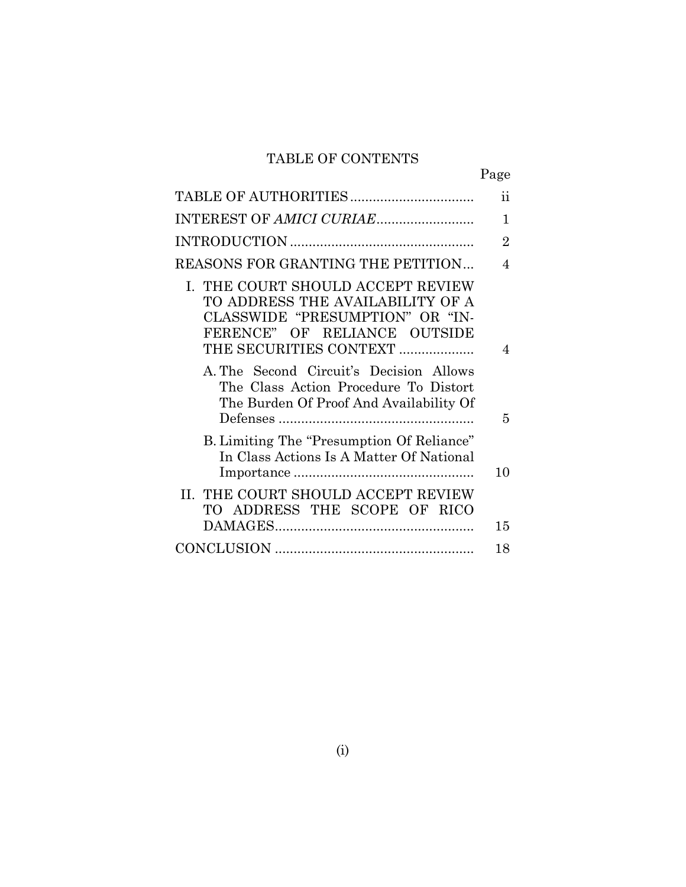### TABLE OF CONTENTS

|--|

|                                                                                                                                                                    | $\ddot{\textbf{i}}$ |
|--------------------------------------------------------------------------------------------------------------------------------------------------------------------|---------------------|
|                                                                                                                                                                    | 1                   |
|                                                                                                                                                                    | $\overline{2}$      |
| REASONS FOR GRANTING THE PETITION                                                                                                                                  | $\overline{4}$      |
| I. THE COURT SHOULD ACCEPT REVIEW<br>TO ADDRESS THE AVAILABILITY OF A<br>CLASSWIDE "PRESUMPTION" OR "IN-<br>FERENCE" OF RELIANCE OUTSIDE<br>THE SECURITIES CONTEXT | $\overline{4}$      |
| A. The Second Circuit's Decision Allows<br>The Class Action Procedure To Distort<br>The Burden Of Proof And Availability Of                                        | 5                   |
| B. Limiting The "Presumption Of Reliance"<br>In Class Actions Is A Matter Of National                                                                              | 10                  |
| II. THE COURT SHOULD ACCEPT REVIEW<br>TO ADDRESS THE SCOPE OF RICO                                                                                                 | 15                  |
|                                                                                                                                                                    | 18                  |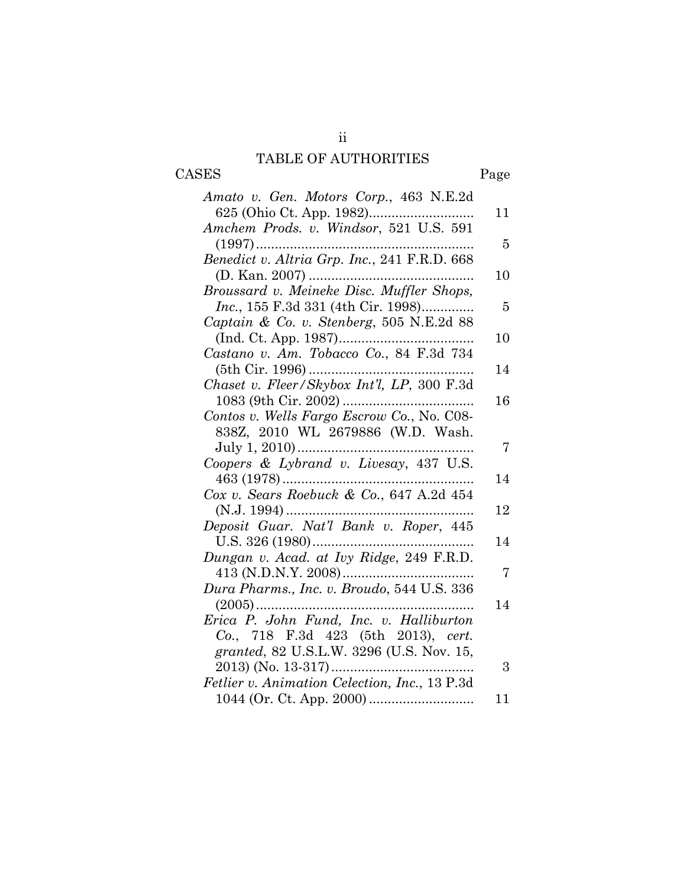# TABLE OF AUTHORITIES

ii

CASES Page

| Amato v. Gen. Motors Corp., 463 N.E.2d        |    |
|-----------------------------------------------|----|
|                                               | 11 |
| Amchem Prods. v. Windsor, 521 U.S. 591        |    |
|                                               | 5  |
| Benedict v. Altria Grp. Inc., 241 F.R.D. 668  |    |
|                                               | 10 |
| Broussard v. Meineke Disc. Muffler Shops,     |    |
| Inc., 155 F.3d 331 (4th Cir. 1998)            | 5  |
| Captain & Co. v. Stenberg, 505 N.E.2d 88      |    |
|                                               | 10 |
| Castano v. Am. Tobacco Co., 84 F.3d 734       |    |
| (5th Cir. 1996)                               | 14 |
| Chaset v. Fleer/Skybox Int'l, LP, 300 F.3d    |    |
| 1083 (9th Cir. 2002)                          | 16 |
| Contos v. Wells Fargo Escrow Co., No. C08-    |    |
| 838Z, 2010 WL 2679886 (W.D. Wash.             |    |
|                                               | 7  |
| Coopers & Lybrand v. Livesay, 437 U.S.        |    |
|                                               | 14 |
| Cox v. Sears Roebuck & Co., 647 A.2d 454      |    |
|                                               | 12 |
| Deposit Guar. Nat'l Bank v. Roper, 445        |    |
| U.S. 326 (1980)                               | 14 |
| Dungan v. Acad. at Ivy Ridge, 249 F.R.D.      |    |
|                                               | 7  |
| Dura Pharms., Inc. v. Broudo, 544 U.S. 336    |    |
|                                               | 14 |
| Erica P. John Fund, Inc. v. Halliburton       |    |
| Co., 718 F.3d 423 (5th 2013), cert.           |    |
| granted, 82 U.S.L.W. 3296 (U.S. Nov. 15,      |    |
|                                               | 3  |
| Fetlier v. Animation Celection, Inc., 13 P.3d |    |
|                                               | 11 |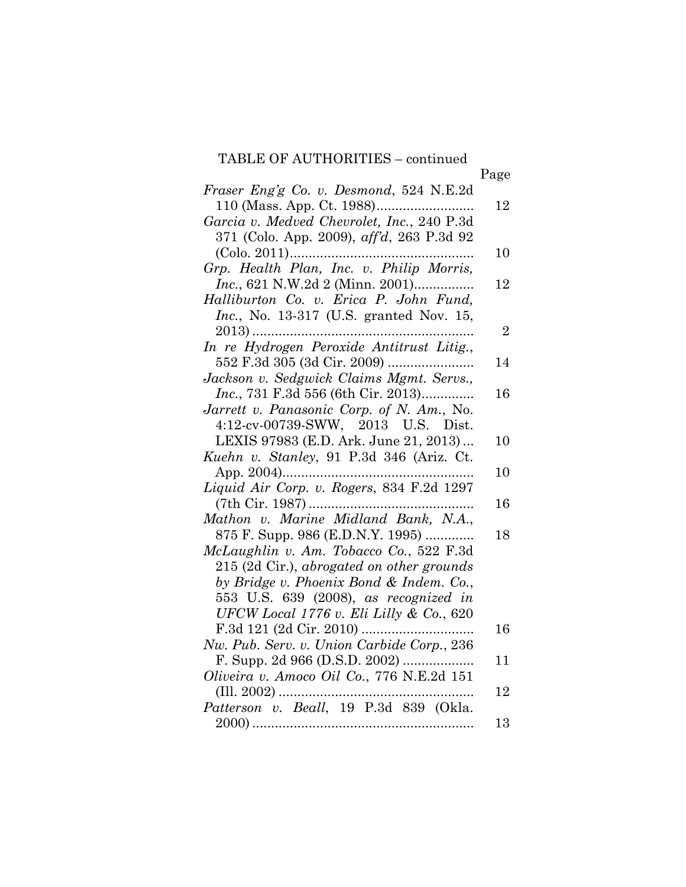| TABLE OF AUTHORITIES – continued           |                |
|--------------------------------------------|----------------|
|                                            | Page           |
| Fraser Eng'g Co. v. Desmond, 524 N.E.2d    |                |
|                                            | 12             |
| Garcia v. Medved Chevrolet, Inc., 240 P.3d |                |
| 371 (Colo. App. 2009), aff'd, 263 P.3d 92  |                |
|                                            | 10             |
| Grp. Health Plan, Inc. v. Philip Morris,   |                |
| <i>Inc.</i> , 621 N.W.2d 2 (Minn. 2001)    | 12             |
| Halliburton Co. v. Erica P. John Fund,     |                |
| Inc., No. 13-317 (U.S. granted Nov. 15,    |                |
|                                            | $\overline{2}$ |
| In re Hydrogen Peroxide Antitrust Litig.,  |                |
| 552 F.3d 305 (3d Cir. 2009)                | 14             |
| Jackson v. Sedgwick Claims Mgmt. Servs.,   |                |
| Inc., 731 F.3d 556 (6th Cir. 2013)         | 16             |
| Jarrett v. Panasonic Corp. of N. Am., No.  |                |
| 4:12-cv-00739-SWW, 2013 U.S. Dist.         |                |
| LEXIS 97983 (E.D. Ark. June 21, 2013)      | 10             |
| Kuehn v. Stanley, 91 P.3d 346 (Ariz. Ct.   |                |
|                                            | 10             |
| Liquid Air Corp. v. Rogers, 834 F.2d 1297  |                |
|                                            | 16             |
| Mathon v. Marine Midland Bank, N.A.,       |                |
| 875 F. Supp. 986 (E.D.N.Y. 1995)           | 18             |
| McLaughlin v. Am. Tobacco Co., 522 F.3d    |                |
| 215 (2d Cir.), abrogated on other grounds  |                |
| by Bridge v. Phoenix Bond & Indem. Co.,    |                |
| 553 U.S. 639 (2008), as recognized in      |                |
| UFCW Local 1776 v. Eli Lilly & Co., 620    |                |
|                                            | 16             |
| Nw. Pub. Serv. v. Union Carbide Corp., 236 |                |
| F. Supp. 2d 966 (D.S.D. 2002)              | 11             |
| Oliveira v. Amoco Oil Co., 776 N.E.2d 151  |                |
| $(III. 2002)$                              | 12             |
|                                            |                |
|                                            | 13             |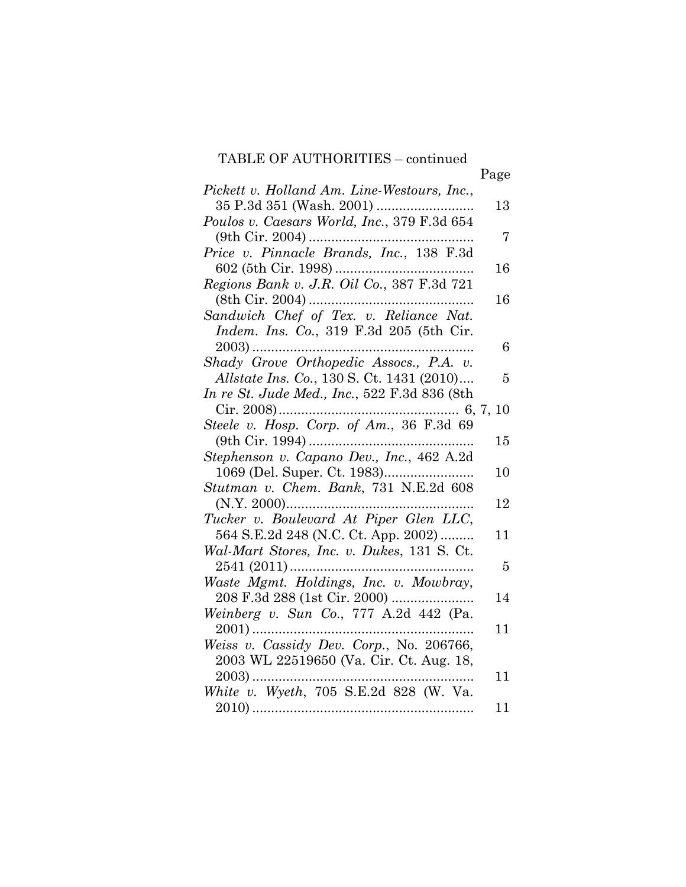|                                              | Page           |
|----------------------------------------------|----------------|
| Pickett v. Holland Am. Line-Westours, Inc.,  |                |
|                                              | 13             |
| Poulos v. Caesars World, Inc., 379 F.3d 654  |                |
|                                              | 7              |
| Price v. Pinnacle Brands, Inc., 138 F.3d     |                |
|                                              | 16             |
| Regions Bank v. J.R. Oil Co., 387 F.3d 721   |                |
|                                              | 16             |
| Sandwich Chef of Tex. v. Reliance Nat.       |                |
| Indem. Ins. Co., 319 F.3d 205 (5th Cir.      |                |
|                                              | 6              |
| Shady Grove Orthopedic Assocs., P.A. v.      |                |
| Allstate Ins. Co., 130 S. Ct. 1431 (2010)    | 5              |
| In re St. Jude Med., Inc., 522 F.3d 836 (8th |                |
|                                              |                |
| Steele v. Hosp. Corp. of Am., 36 F.3d 69     |                |
|                                              | 15             |
| Stephenson v. Capano Dev., Inc., 462 A.2d    |                |
|                                              | 10             |
| Stutman v. Chem. Bank, 731 N.E.2d 608        |                |
|                                              | 12             |
| Tucker v. Boulevard At Piper Glen LLC,       |                |
| 564 S.E.2d 248 (N.C. Ct. App. 2002)          | 11             |
| Wal-Mart Stores, Inc. v. Dukes, 131 S. Ct.   |                |
|                                              | $\overline{5}$ |
| Waste Mgmt. Holdings, Inc. v. Mowbray,       |                |
| 208 F.3d 288 (1st Cir. 2000)                 | 14             |
| Weinberg v. Sun Co., 777 A.2d 442 (Pa.       |                |
|                                              | 11             |
| Weiss v. Cassidy Dev. Corp., No. 206766,     |                |
| 2003 WL 22519650 (Va. Cir. Ct. Aug. 18,      |                |
| 2003)                                        | 11             |
|                                              |                |
|                                              | 11             |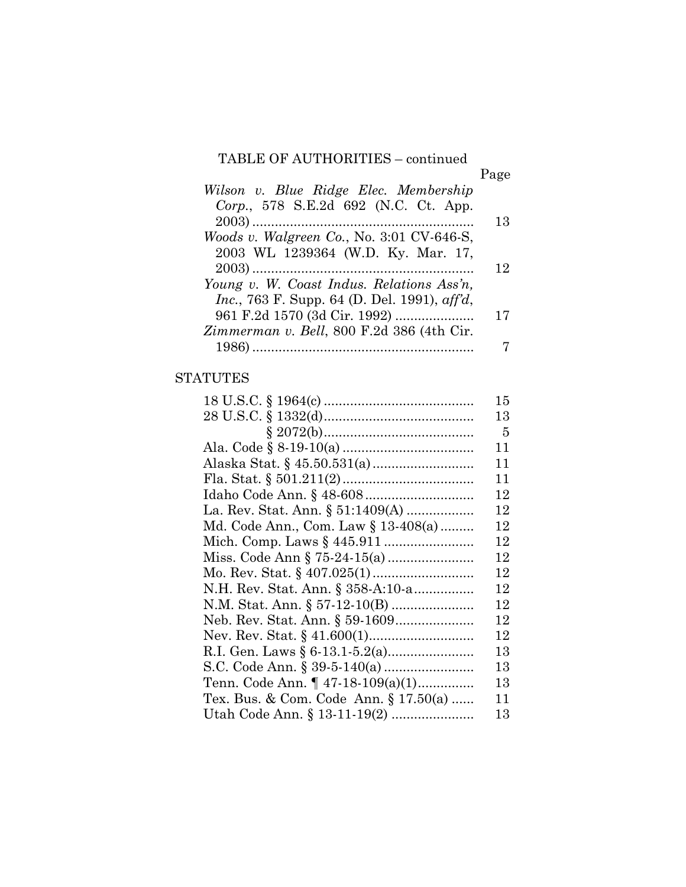| TABLE OF AUTHORITIES – continued                             |      |
|--------------------------------------------------------------|------|
|                                                              | Page |
| Wilson v. Blue Ridge Elec. Membership                        |      |
| Corp., 578 S.E.2d 692 (N.C. Ct. App.                         |      |
|                                                              | 13   |
| Woods v. Walgreen Co., No. 3:01 CV-646-S,                    |      |
| 2003 WL 1239364 (W.D. Ky. Mar. 17,                           |      |
|                                                              | 12   |
| Young v. W. Coast Indus. Relations Ass'n,                    |      |
| <i>Inc.</i> , 763 F. Supp. 64 (D. Del. 1991), $\alpha f/d$ , |      |
| 961 F.2d 1570 (3d Cir. 1992)                                 | 17   |
| Zimmerman v. Bell, 800 F.2d 386 (4th Cir.                    |      |
|                                                              | 7    |

### STATUTES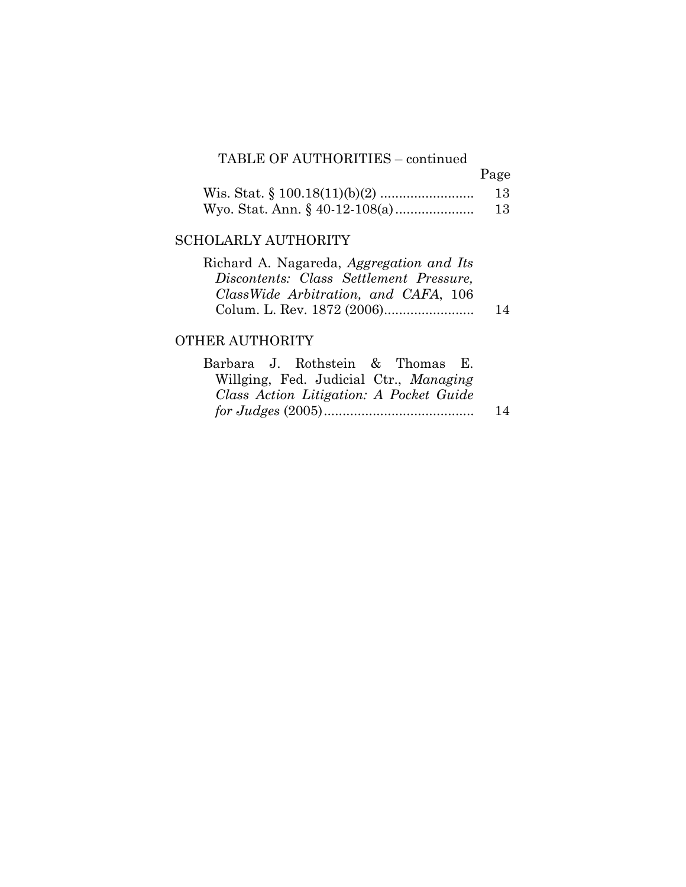### Page

| -13 |
|-----|
| 13  |

### SCHOLARLY AUTHORITY

| Richard A. Nagareda, Aggregation and Its |    |
|------------------------------------------|----|
| Discontents: Class Settlement Pressure,  |    |
| ClassWide Arbitration, and CAFA, 106     |    |
|                                          | 14 |

### OTHER AUTHORITY

|  | Barbara J. Rothstein & Thomas E.        |  |    |
|--|-----------------------------------------|--|----|
|  | Willging, Fed. Judicial Ctr., Managing  |  |    |
|  | Class Action Litigation: A Pocket Guide |  |    |
|  |                                         |  | 14 |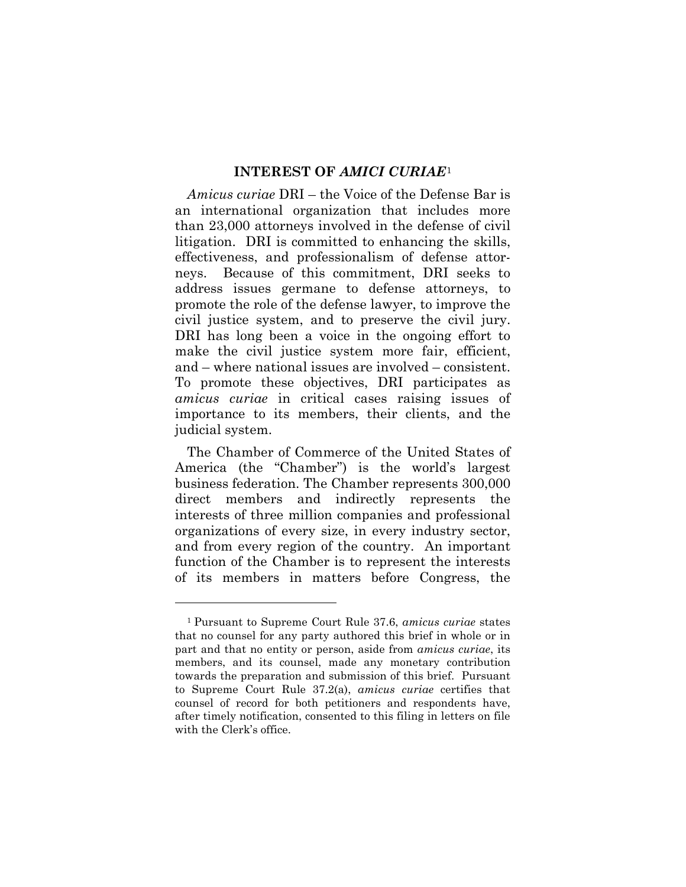#### **INTEREST OF** *AMICI CURIAE*[1](#page-7-0)

*Amicus curiae* DRI – the Voice of the Defense Bar is an international organization that includes more than 23,000 attorneys involved in the defense of civil litigation. DRI is committed to enhancing the skills, effectiveness, and professionalism of defense attorneys. Because of this commitment, DRI seeks to address issues germane to defense attorneys, to promote the role of the defense lawyer, to improve the civil justice system, and to preserve the civil jury. DRI has long been a voice in the ongoing effort to make the civil justice system more fair, efficient, and – where national issues are involved – consistent. To promote these objectives, DRI participates as *amicus curiae* in critical cases raising issues of importance to its members, their clients, and the judicial system.

The Chamber of Commerce of the United States of America (the "Chamber") is the world's largest business federation. The Chamber represents 300,000 direct members and indirectly represents the interests of three million companies and professional organizations of every size, in every industry sector, and from every region of the country. An important function of the Chamber is to represent the interests of its members in matters before Congress, the

 $\overline{a}$ 

<span id="page-7-0"></span><sup>1</sup> Pursuant to Supreme Court Rule 37.6, *amicus curiae* states that no counsel for any party authored this brief in whole or in part and that no entity or person, aside from *amicus curiae*, its members, and its counsel, made any monetary contribution towards the preparation and submission of this brief. Pursuant to Supreme Court Rule 37.2(a), *amicus curiae* certifies that counsel of record for both petitioners and respondents have, after timely notification, consented to this filing in letters on file with the Clerk's office.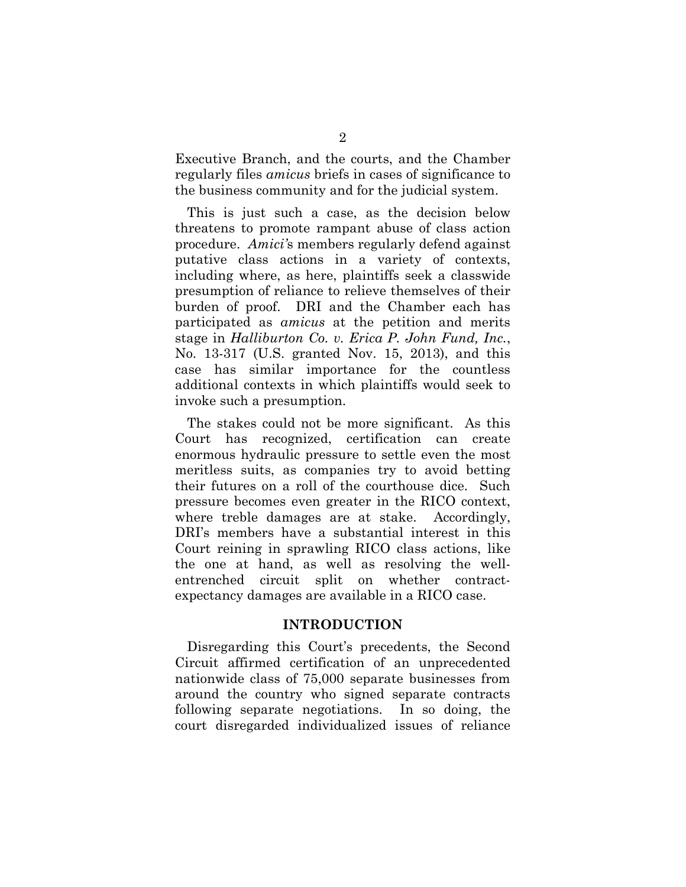Executive Branch, and the courts, and the Chamber regularly files *amicus* briefs in cases of significance to the business community and for the judicial system.

This is just such a case, as the decision below threatens to promote rampant abuse of class action procedure. *Amici'*s members regularly defend against putative class actions in a variety of contexts, including where, as here, plaintiffs seek a classwide presumption of reliance to relieve themselves of their burden of proof. DRI and the Chamber each has participated as *amicus* at the petition and merits stage in *Halliburton Co. v. Erica P. John Fund, Inc.*, No. 13-317 (U.S. granted Nov. 15, 2013), and this case has similar importance for the countless additional contexts in which plaintiffs would seek to invoke such a presumption.

The stakes could not be more significant. As this Court has recognized, certification can create enormous hydraulic pressure to settle even the most meritless suits, as companies try to avoid betting their futures on a roll of the courthouse dice. Such pressure becomes even greater in the RICO context, where treble damages are at stake. Accordingly, DRI's members have a substantial interest in this Court reining in sprawling RICO class actions, like the one at hand, as well as resolving the wellentrenched circuit split on whether contractexpectancy damages are available in a RICO case.

#### **INTRODUCTION**

Disregarding this Court's precedents, the Second Circuit affirmed certification of an unprecedented nationwide class of 75,000 separate businesses from around the country who signed separate contracts following separate negotiations. In so doing, the court disregarded individualized issues of reliance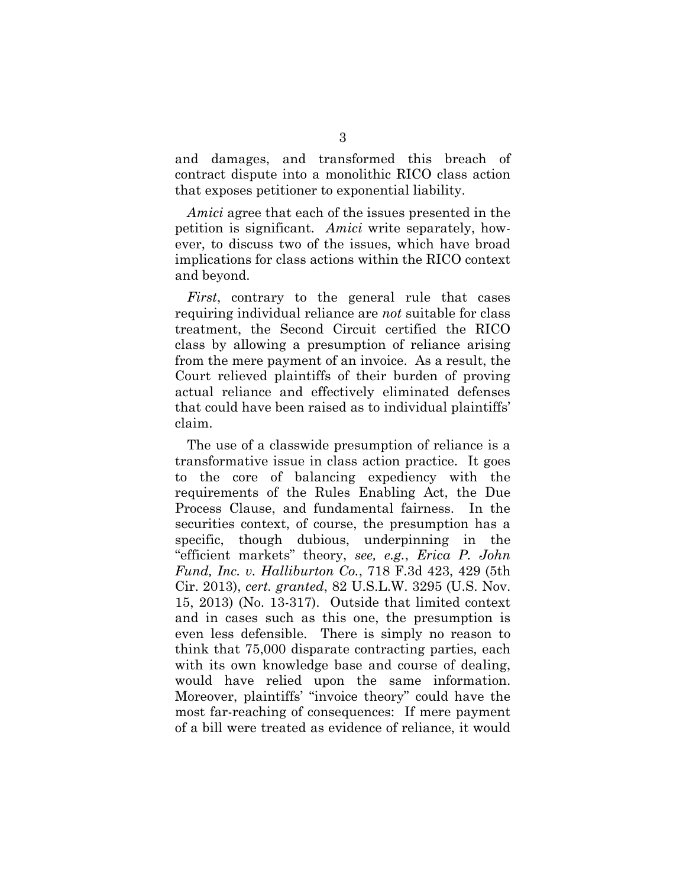and damages, and transformed this breach of contract dispute into a monolithic RICO class action that exposes petitioner to exponential liability.

*Amici* agree that each of the issues presented in the petition is significant. *Amici* write separately, however, to discuss two of the issues, which have broad implications for class actions within the RICO context and beyond.

*First*, contrary to the general rule that cases requiring individual reliance are *not* suitable for class treatment, the Second Circuit certified the RICO class by allowing a presumption of reliance arising from the mere payment of an invoice. As a result, the Court relieved plaintiffs of their burden of proving actual reliance and effectively eliminated defenses that could have been raised as to individual plaintiffs' claim.

The use of a classwide presumption of reliance is a transformative issue in class action practice. It goes to the core of balancing expediency with the requirements of the Rules Enabling Act, the Due Process Clause, and fundamental fairness. In the securities context, of course, the presumption has a specific, though dubious, underpinning in the "efficient markets" theory, *see, e.g.*, *Erica P. John Fund, Inc. v. Halliburton Co.*, 718 F.3d 423, 429 (5th Cir. 2013), *cert. granted*, 82 U.S.L.W. 3295 (U.S. Nov. 15, 2013) (No. 13-317). Outside that limited context and in cases such as this one, the presumption is even less defensible. There is simply no reason to think that 75,000 disparate contracting parties, each with its own knowledge base and course of dealing, would have relied upon the same information. Moreover, plaintiffs' "invoice theory" could have the most far-reaching of consequences: If mere payment of a bill were treated as evidence of reliance, it would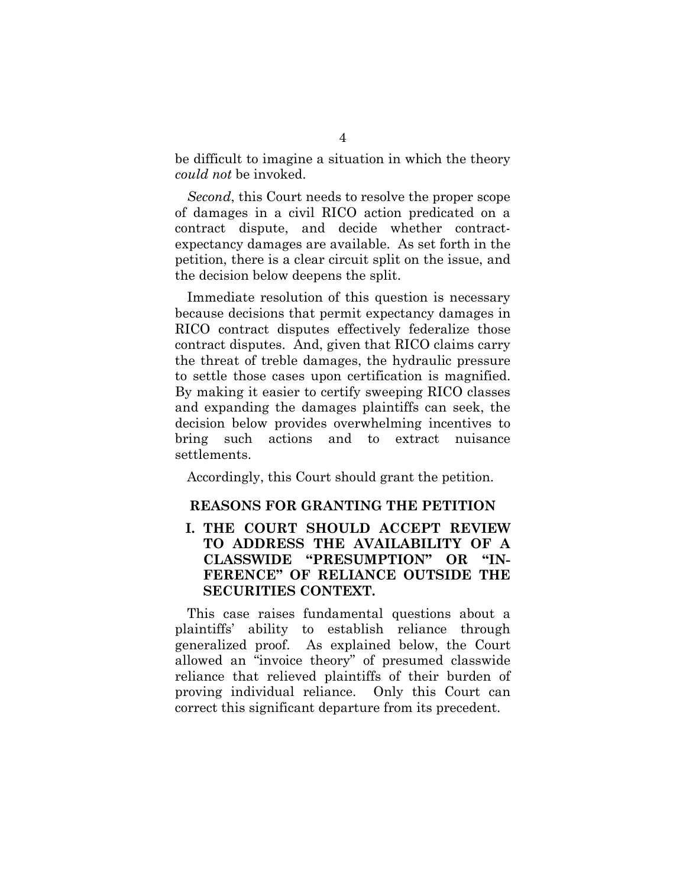be difficult to imagine a situation in which the theory *could not* be invoked.

*Second*, this Court needs to resolve the proper scope of damages in a civil RICO action predicated on a contract dispute, and decide whether contractexpectancy damages are available. As set forth in the petition, there is a clear circuit split on the issue, and the decision below deepens the split.

Immediate resolution of this question is necessary because decisions that permit expectancy damages in RICO contract disputes effectively federalize those contract disputes. And, given that RICO claims carry the threat of treble damages, the hydraulic pressure to settle those cases upon certification is magnified. By making it easier to certify sweeping RICO classes and expanding the damages plaintiffs can seek, the decision below provides overwhelming incentives to bring such actions and to extract nuisance settlements.

Accordingly, this Court should grant the petition.

#### **REASONS FOR GRANTING THE PETITION**

**I. THE COURT SHOULD ACCEPT REVIEW TO ADDRESS THE AVAILABILITY OF A CLASSWIDE "PRESUMPTION" OR "IN-FERENCE" OF RELIANCE OUTSIDE THE SECURITIES CONTEXT.**

This case raises fundamental questions about a plaintiffs' ability to establish reliance through generalized proof. As explained below, the Court allowed an "invoice theory" of presumed classwide reliance that relieved plaintiffs of their burden of proving individual reliance. Only this Court can correct this significant departure from its precedent.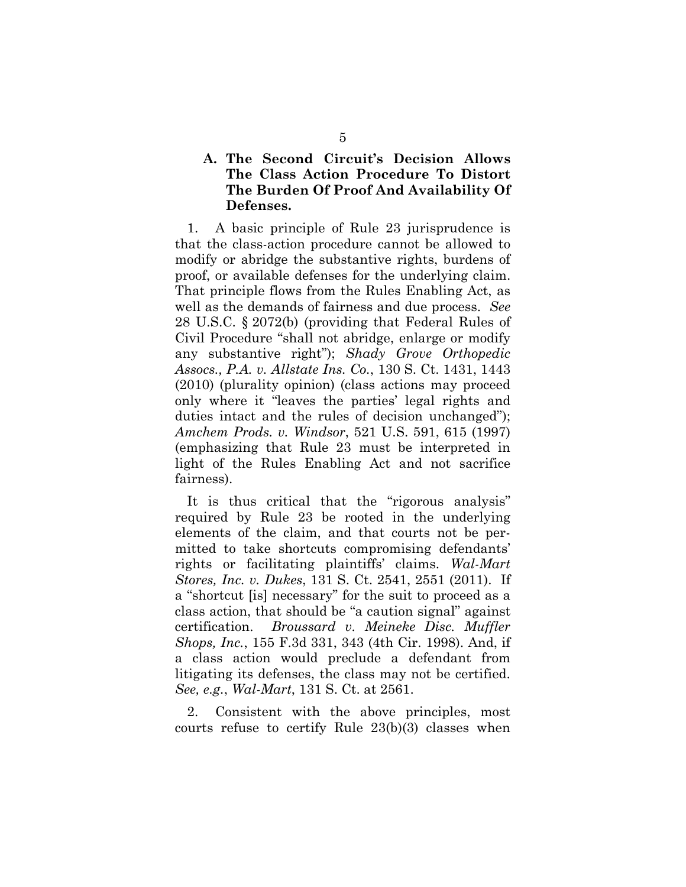### **A. The Second Circuit's Decision Allows The Class Action Procedure To Distort The Burden Of Proof And Availability Of Defenses.**

1. A basic principle of Rule 23 jurisprudence is that the class-action procedure cannot be allowed to modify or abridge the substantive rights, burdens of proof, or available defenses for the underlying claim. That principle flows from the Rules Enabling Act, as well as the demands of fairness and due process. *See*  28 U.S.C. § 2072(b) (providing that Federal Rules of Civil Procedure "shall not abridge, enlarge or modify any substantive right"); *Shady Grove Orthopedic Assocs., P.A. v. Allstate Ins. Co.*, 130 S. Ct. 1431, 1443 (2010) (plurality opinion) (class actions may proceed only where it "leaves the parties' legal rights and duties intact and the rules of decision unchanged"); *Amchem Prods. v. Windsor*, 521 U.S. 591, 615 (1997) (emphasizing that Rule 23 must be interpreted in light of the Rules Enabling Act and not sacrifice fairness).

It is thus critical that the "rigorous analysis" required by Rule 23 be rooted in the underlying elements of the claim, and that courts not be permitted to take shortcuts compromising defendants' rights or facilitating plaintiffs' claims. *Wal-Mart Stores, Inc. v. Dukes*, 131 S. Ct. 2541, 2551 (2011). If a "shortcut [is] necessary" for the suit to proceed as a class action, that should be "a caution signal" against certification. *Broussard v. Meineke Disc. Muffler Shops, Inc.*, 155 F.3d 331, 343 (4th Cir. 1998). And, if a class action would preclude a defendant from litigating its defenses, the class may not be certified. *See, e.g.*, *Wal-Mart*, 131 S. Ct. at 2561.

2. Consistent with the above principles, most courts refuse to certify Rule 23(b)(3) classes when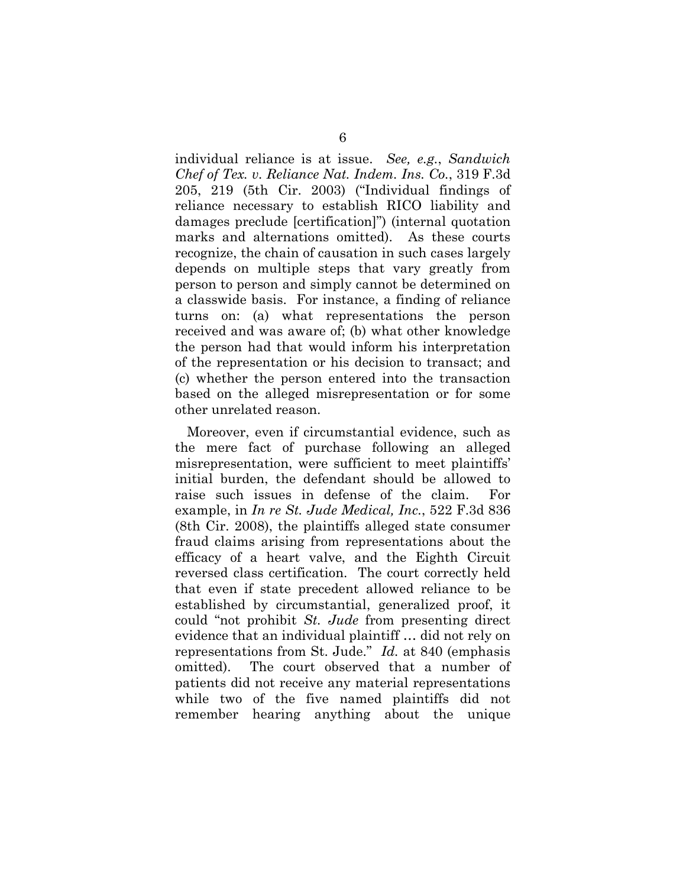individual reliance is at issue. *See, e.g.*, *Sandwich Chef of Tex. v. Reliance Nat. Indem. Ins. Co.*, 319 F.3d 205, 219 (5th Cir. 2003) ("Individual findings of reliance necessary to establish RICO liability and damages preclude [certification]") (internal quotation marks and alternations omitted).As these courts recognize, the chain of causation in such cases largely depends on multiple steps that vary greatly from person to person and simply cannot be determined on a classwide basis. For instance, a finding of reliance turns on: (a) what representations the person received and was aware of; (b) what other knowledge the person had that would inform his interpretation of the representation or his decision to transact; and (c) whether the person entered into the transaction based on the alleged misrepresentation or for some other unrelated reason.

Moreover, even if circumstantial evidence, such as the mere fact of purchase following an alleged misrepresentation, were sufficient to meet plaintiffs' initial burden, the defendant should be allowed to raise such issues in defense of the claim. For example, in *In re St. Jude Medical, Inc.*, 522 F.3d 836 (8th Cir. 2008), the plaintiffs alleged state consumer fraud claims arising from representations about the efficacy of a heart valve, and the Eighth Circuit reversed class certification. The court correctly held that even if state precedent allowed reliance to be established by circumstantial, generalized proof, it could "not prohibit *St. Jude* from presenting direct evidence that an individual plaintiff … did not rely on representations from St. Jude." *Id.* at 840 (emphasis omitted). The court observed that a number of patients did not receive any material representations while two of the five named plaintiffs did not remember hearing anything about the unique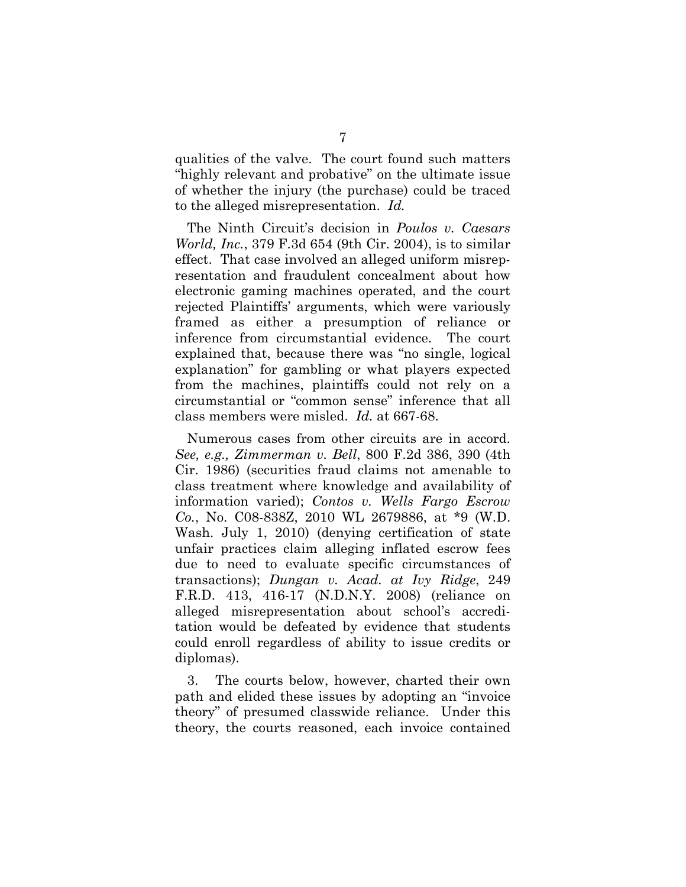qualities of the valve. The court found such matters "highly relevant and probative" on the ultimate issue of whether the injury (the purchase) could be traced to the alleged misrepresentation. *Id.*

The Ninth Circuit's decision in *Poulos v. Caesars World, Inc.*, 379 F.3d 654 (9th Cir. 2004), is to similar effect. That case involved an alleged uniform misrepresentation and fraudulent concealment about how electronic gaming machines operated, and the court rejected Plaintiffs' arguments, which were variously framed as either a presumption of reliance or inference from circumstantial evidence. The court explained that, because there was "no single, logical explanation" for gambling or what players expected from the machines, plaintiffs could not rely on a circumstantial or "common sense" inference that all class members were misled. *Id.* at 667-68.

Numerous cases from other circuits are in accord. *See, e.g., Zimmerman v. Bell*, 800 F.2d 386, 390 (4th Cir. 1986) (securities fraud claims not amenable to class treatment where knowledge and availability of information varied); *Contos v. Wells Fargo Escrow Co.*, No. C08-838Z, 2010 WL 2679886, at \*9 (W.D. Wash. July 1, 2010) (denying certification of state unfair practices claim alleging inflated escrow fees due to need to evaluate specific circumstances of transactions); *Dungan v. Acad. at Ivy Ridge*, 249 F.R.D. 413, 416-17 (N.D.N.Y. 2008) (reliance on alleged misrepresentation about school's accreditation would be defeated by evidence that students could enroll regardless of ability to issue credits or diplomas).

3. The courts below, however, charted their own path and elided these issues by adopting an "invoice theory" of presumed classwide reliance. Under this theory, the courts reasoned, each invoice contained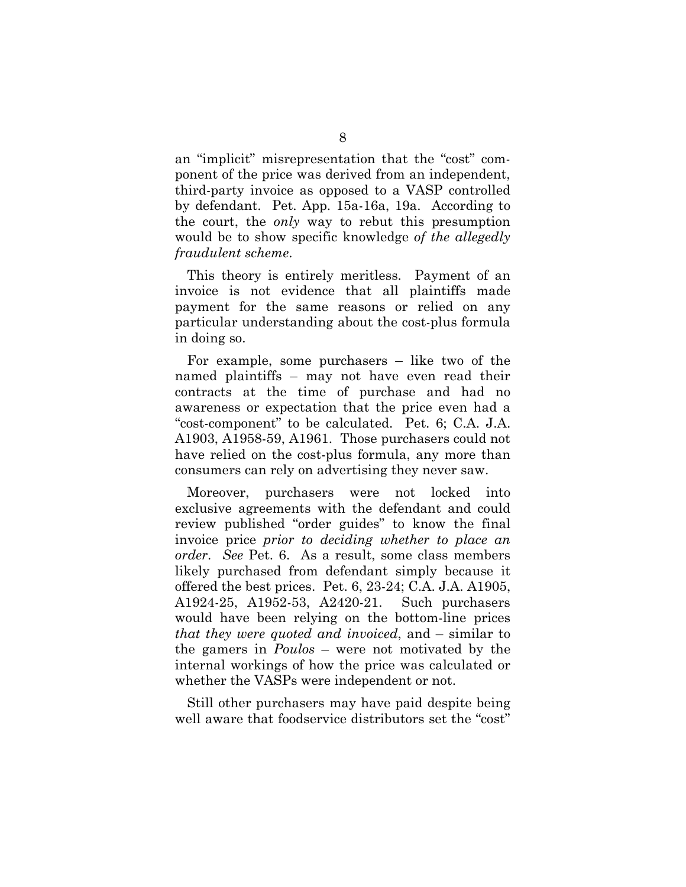an "implicit" misrepresentation that the "cost" component of the price was derived from an independent, third-party invoice as opposed to a VASP controlled by defendant. Pet. App. 15a-16a, 19a. According to the court, the *only* way to rebut this presumption would be to show specific knowledge *of the allegedly fraudulent scheme*.

This theory is entirely meritless. Payment of an invoice is not evidence that all plaintiffs made payment for the same reasons or relied on any particular understanding about the cost-plus formula in doing so.

For example, some purchasers – like two of the named plaintiffs – may not have even read their contracts at the time of purchase and had no awareness or expectation that the price even had a "cost-component" to be calculated. Pet. 6; C.A. J.A. A1903, A1958-59, A1961. Those purchasers could not have relied on the cost-plus formula, any more than consumers can rely on advertising they never saw.

Moreover, purchasers were not locked into exclusive agreements with the defendant and could review published "order guides" to know the final invoice price *prior to deciding whether to place an order*. *See* Pet. 6. As a result, some class members likely purchased from defendant simply because it offered the best prices. Pet. 6, 23-24; C.A. J.A. A1905, A1924-25, A1952-53, A2420-21. Such purchasers would have been relying on the bottom-line prices *that they were quoted and invoiced*, and – similar to the gamers in *Poulos* – were not motivated by the internal workings of how the price was calculated or whether the VASPs were independent or not.

Still other purchasers may have paid despite being well aware that foodservice distributors set the "cost"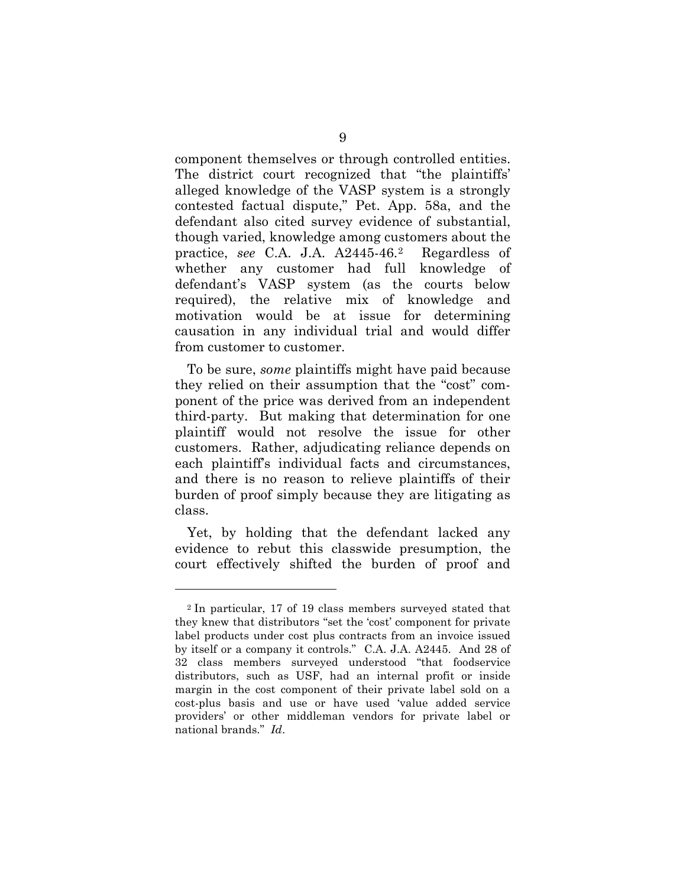component themselves or through controlled entities. The district court recognized that "the plaintiffs' alleged knowledge of the VASP system is a strongly contested factual dispute," Pet. App. 58a, and the defendant also cited survey evidence of substantial, though varied, knowledge among customers about the practice, *see* C.A. J.A. A2445-46.[2](#page-15-0) Regardless of whether any customer had full knowledge of defendant's VASP system (as the courts below required), the relative mix of knowledge and motivation would be at issue for determining causation in any individual trial and would differ from customer to customer.

To be sure, *some* plaintiffs might have paid because they relied on their assumption that the "cost" component of the price was derived from an independent third-party. But making that determination for one plaintiff would not resolve the issue for other customers. Rather, adjudicating reliance depends on each plaintiff's individual facts and circumstances, and there is no reason to relieve plaintiffs of their burden of proof simply because they are litigating as class.

Yet, by holding that the defendant lacked any evidence to rebut this classwide presumption, the court effectively shifted the burden of proof and

 $\overline{a}$ 

<span id="page-15-0"></span><sup>2</sup> In particular, 17 of 19 class members surveyed stated that they knew that distributors "set the 'cost' component for private label products under cost plus contracts from an invoice issued by itself or a company it controls." C.A. J.A. A2445. And 28 of 32 class members surveyed understood "that foodservice distributors, such as USF, had an internal profit or inside margin in the cost component of their private label sold on a cost-plus basis and use or have used 'value added service providers' or other middleman vendors for private label or national brands." *Id*.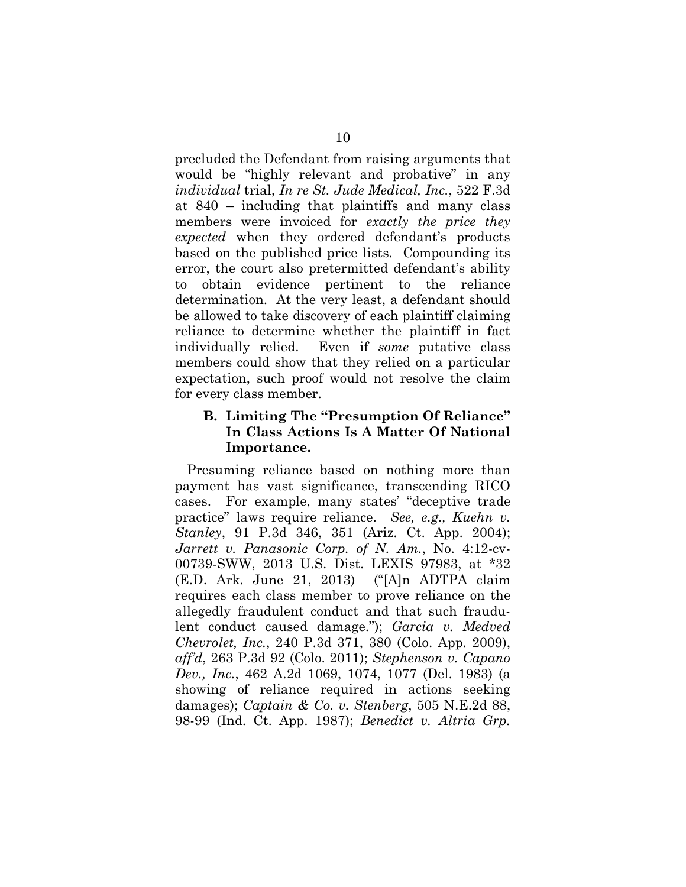precluded the Defendant from raising arguments that would be "highly relevant and probative" in any *individual* trial, *In re St. Jude Medical, Inc.*, 522 F.3d at 840 – including that plaintiffs and many class members were invoiced for *exactly the price they expected* when they ordered defendant's products based on the published price lists. Compounding its error, the court also pretermitted defendant's ability to obtain evidence pertinent to the reliance determination. At the very least, a defendant should be allowed to take discovery of each plaintiff claiming reliance to determine whether the plaintiff in fact individually relied. Even if *some* putative class members could show that they relied on a particular expectation, such proof would not resolve the claim for every class member.

### **B. Limiting The "Presumption Of Reliance" In Class Actions Is A Matter Of National Importance.**

Presuming reliance based on nothing more than payment has vast significance, transcending RICO cases. For example, many states' "deceptive trade practice" laws require reliance. *See, e.g., Kuehn v. Stanley*, 91 P.3d 346, 351 (Ariz. Ct. App. 2004); *Jarrett v. Panasonic Corp. of N. Am.*, No. 4:12-cv-00739-SWW, 2013 U.S. Dist. LEXIS 97983, at \*32 (E.D. Ark. June 21, 2013) ("[A]n ADTPA claim requires each class member to prove reliance on the allegedly fraudulent conduct and that such fraudulent conduct caused damage."); *Garcia v. Medved Chevrolet, Inc.*, 240 P.3d 371, 380 (Colo. App. 2009), *aff'd*, 263 P.3d 92 (Colo. 2011); *Stephenson v. Capano Dev., Inc.*, 462 A.2d 1069, 1074, 1077 (Del. 1983) (a showing of reliance required in actions seeking damages); *Captain & Co. v. Stenberg*, 505 N.E.2d 88, 98-99 (Ind. Ct. App. 1987); *Benedict v. Altria Grp.*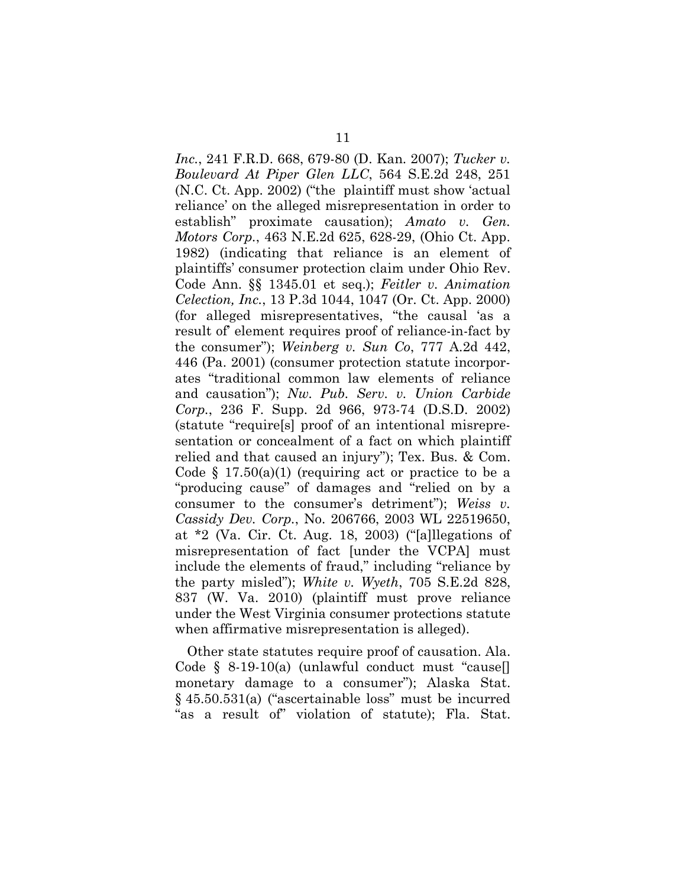*Inc.*, 241 F.R.D. 668, 679-80 (D. Kan. 2007); *Tucker v. Boulevard At Piper Glen LLC*, 564 S.E.2d 248, 251 (N.C. Ct. App. 2002) ("the plaintiff must show 'actual reliance' on the alleged misrepresentation in order to establish" proximate causation); *Amato v. Gen. Motors Corp.*, 463 N.E.2d 625, 628-29, (Ohio Ct. App. 1982) (indicating that reliance is an element of plaintiffs' consumer protection claim under Ohio Rev. Code Ann. §§ 1345.01 et seq.); *Feitler v. Animation Celection, Inc.*, 13 P.3d 1044, 1047 (Or. Ct. App. 2000) (for alleged misrepresentatives, "the causal 'as a result of' element requires proof of reliance-in-fact by the consumer"); *Weinberg v. Sun Co*, 777 A.2d 442, 446 (Pa. 2001) (consumer protection statute incorporates "traditional common law elements of reliance and causation"); *Nw. Pub. Serv. v. Union Carbide Corp.*, 236 F. Supp. 2d 966, 973-74 (D.S.D. 2002) (statute "require[s] proof of an intentional misrepresentation or concealment of a fact on which plaintiff relied and that caused an injury"); Tex. Bus. & Com. Code  $\S$  17.50(a)(1) (requiring act or practice to be a "producing cause" of damages and "relied on by a consumer to the consumer's detriment"); *Weiss v. Cassidy Dev. Corp.*, No. 206766, 2003 WL 22519650, at \*2 (Va. Cir. Ct. Aug. 18, 2003) ("[a]llegations of misrepresentation of fact [under the VCPA] must include the elements of fraud," including "reliance by the party misled"); *White v. Wyeth*, 705 S.E.2d 828, 837 (W. Va. 2010) (plaintiff must prove reliance under the West Virginia consumer protections statute when affirmative misrepresentation is alleged).

Other state statutes require proof of causation. Ala. Code § 8-19-10(a) (unlawful conduct must "cause[] monetary damage to a consumer"); Alaska Stat. § 45.50.531(a) ("ascertainable loss" must be incurred "as a result of" violation of statute); Fla. Stat.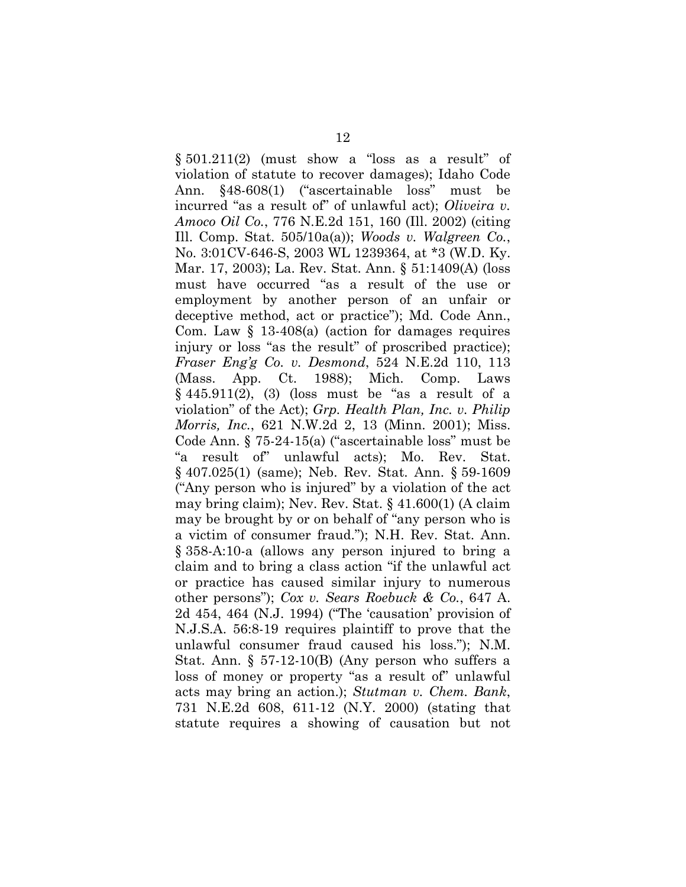$§ 501.211(2)$  (must show a "loss as a result" of violation of statute to recover damages); Idaho Code Ann. §48-608(1) ("ascertainable loss" must be incurred "as a result of" of unlawful act); *Oliveira v. Amoco Oil Co.*, 776 N.E.2d 151, 160 (Ill. 2002) (citing Ill. Comp. Stat. 505/10a(a)); *Woods v. Walgreen Co.*, No. 3:01CV-646-S, 2003 WL 1239364, at \*3 (W.D. Ky. Mar. 17, 2003); La. Rev. Stat. Ann. § 51:1409(A) (loss must have occurred "as a result of the use or employment by another person of an unfair or deceptive method, act or practice"); Md. Code Ann., Com. Law  $\S$  13-408(a) (action for damages requires injury or loss "as the result" of proscribed practice); *Fraser Eng'g Co. v. Desmond*, 524 N.E.2d 110, 113 (Mass. App. Ct. 1988); Mich. Comp. Laws  $§$  445.911(2), (3) (loss must be "as a result of a violation" of the Act); *Grp. Health Plan, Inc. v. Philip Morris, Inc.*, 621 N.W.2d 2, 13 (Minn. 2001); Miss. Code Ann. § 75-24-15(a) ("ascertainable loss" must be "a result of" unlawful acts); Mo. Rev. Stat. § 407.025(1) (same); Neb. Rev. Stat. Ann. § 59-1609 ("Any person who is injured" by a violation of the act may bring claim); Nev. Rev. Stat. § 41.600(1) (A claim may be brought by or on behalf of "any person who is a victim of consumer fraud."); N.H. Rev. Stat. Ann. § 358-A:10-a (allows any person injured to bring a claim and to bring a class action "if the unlawful act or practice has caused similar injury to numerous other persons"); *Cox v. Sears Roebuck & Co.*, 647 A. 2d 454, 464 (N.J. 1994) ("The 'causation' provision of N.J.S.A. 56:8-19 requires plaintiff to prove that the unlawful consumer fraud caused his loss."); N.M. Stat. Ann. § 57-12-10(B) (Any person who suffers a loss of money or property "as a result of" unlawful acts may bring an action.); *Stutman v. Chem. Bank*, 731 N.E.2d 608, 611-12 (N.Y. 2000) (stating that statute requires a showing of causation but not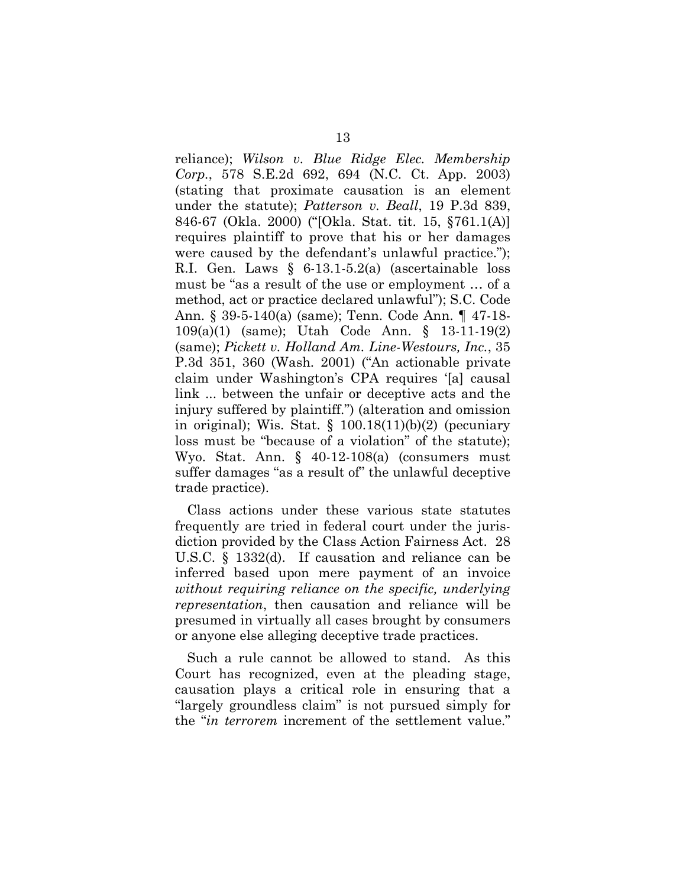reliance); *Wilson v. Blue Ridge Elec. Membership Corp.*, 578 S.E.2d 692, 694 (N.C. Ct. App. 2003) (stating that proximate causation is an element under the statute); *Patterson v. Beall*, 19 P.3d 839, 846-67 (Okla. 2000) ("[Okla. Stat. tit. 15, §761.1(A)] requires plaintiff to prove that his or her damages were caused by the defendant's unlawful practice."); R.I. Gen. Laws § 6-13.1-5.2(a) (ascertainable loss must be "as a result of the use or employment … of a method, act or practice declared unlawful"); S.C. Code Ann. § 39-5-140(a) (same); Tenn. Code Ann. ¶ 47-18- 109(a)(1) (same); Utah Code Ann. § 13-11-19(2) (same); *Pickett v. Holland Am. Line-Westours, Inc.*, 35 P.3d 351, 360 (Wash. 2001) ("An actionable private claim under Washington's CPA requires '[a] causal link ... between the unfair or deceptive acts and the injury suffered by plaintiff.") (alteration and omission in original); Wis. Stat.  $\S$  100.18(11)(b)(2) (pecuniary loss must be "because of a violation" of the statute); Wyo. Stat. Ann. § 40-12-108(a) (consumers must suffer damages "as a result of" the unlawful deceptive trade practice).

Class actions under these various state statutes frequently are tried in federal court under the jurisdiction provided by the Class Action Fairness Act. 28 U.S.C. § 1332(d). If causation and reliance can be inferred based upon mere payment of an invoice *without requiring reliance on the specific, underlying representation*, then causation and reliance will be presumed in virtually all cases brought by consumers or anyone else alleging deceptive trade practices.

Such a rule cannot be allowed to stand. As this Court has recognized, even at the pleading stage, causation plays a critical role in ensuring that a "largely groundless claim" is not pursued simply for the "*in terrorem* increment of the settlement value."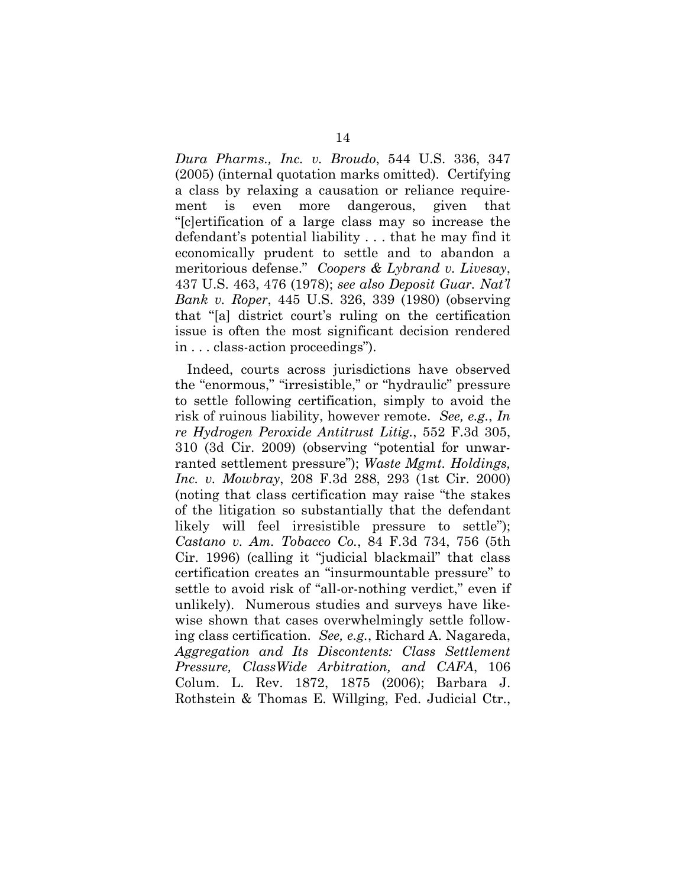*Dura Pharms., Inc. v. Broudo*, 544 U.S. 336, 347 (2005) (internal quotation marks omitted). Certifying a class by relaxing a causation or reliance requirement is even more dangerous, given that "[c]ertification of a large class may so increase the defendant's potential liability . . . that he may find it economically prudent to settle and to abandon a meritorious defense." *Coopers & Lybrand v. Livesay*, 437 U.S. 463, 476 (1978); *see also Deposit Guar. Nat'l Bank v. Roper*, 445 U.S. 326, 339 (1980) (observing that "[a] district court's ruling on the certification issue is often the most significant decision rendered in . . . class-action proceedings").

Indeed, courts across jurisdictions have observed the "enormous," "irresistible," or "hydraulic" pressure to settle following certification, simply to avoid the risk of ruinous liability, however remote. *See, e.g.*, *In re Hydrogen Peroxide Antitrust Litig.*, 552 F.3d 305, 310 (3d Cir. 2009) (observing "potential for unwarranted settlement pressure"); *Waste Mgmt. Holdings, Inc. v. Mowbray*, 208 F.3d 288, 293 (1st Cir. 2000) (noting that class certification may raise "the stakes of the litigation so substantially that the defendant likely will feel irresistible pressure to settle"); *Castano v. Am. Tobacco Co.*, 84 F.3d 734, 756 (5th Cir. 1996) (calling it "judicial blackmail" that class certification creates an "insurmountable pressure" to settle to avoid risk of "all-or-nothing verdict," even if unlikely). Numerous studies and surveys have likewise shown that cases overwhelmingly settle following class certification. *See, e.g.*, Richard A. Nagareda, *Aggregation and Its Discontents: Class Settlement Pressure, ClassWide Arbitration, and CAFA*, 106 Colum. L. Rev. 1872, 1875 (2006); Barbara J. Rothstein & Thomas E. Willging, Fed. Judicial Ctr.,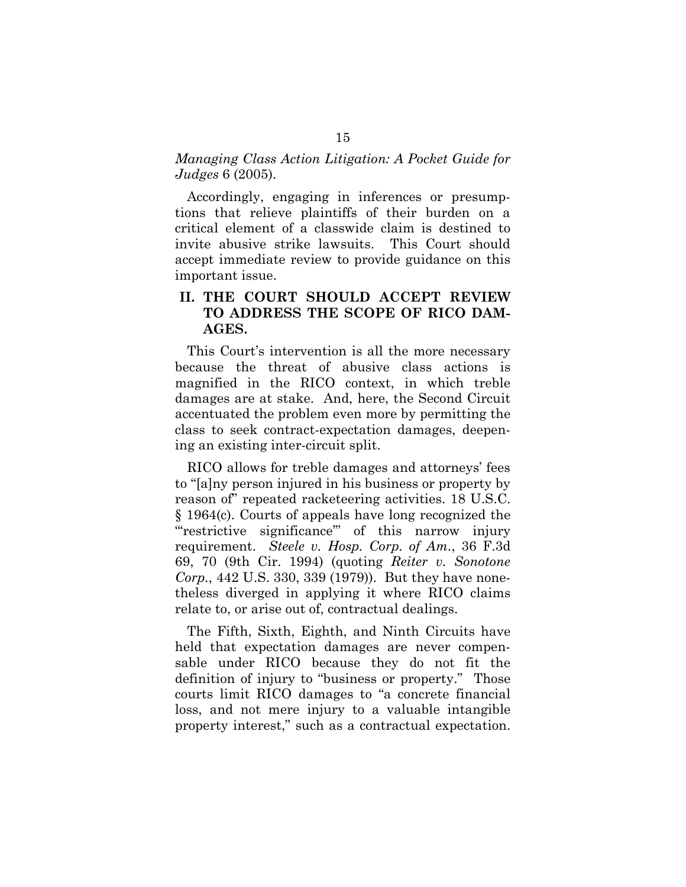### *Managing Class Action Litigation: A Pocket Guide for Judges* 6 (2005).

Accordingly, engaging in inferences or presumptions that relieve plaintiffs of their burden on a critical element of a classwide claim is destined to invite abusive strike lawsuits. This Court should accept immediate review to provide guidance on this important issue.

### **II. THE COURT SHOULD ACCEPT REVIEW TO ADDRESS THE SCOPE OF RICO DAM-AGES.**

This Court's intervention is all the more necessary because the threat of abusive class actions is magnified in the RICO context, in which treble damages are at stake. And, here, the Second Circuit accentuated the problem even more by permitting the class to seek contract-expectation damages, deepening an existing inter-circuit split.

RICO allows for treble damages and attorneys' fees to "[a]ny person injured in his business or property by reason of" repeated racketeering activities. 18 U.S.C. § 1964(c). Courts of appeals have long recognized the "restrictive significance" of this narrow injury requirement. *Steele v. Hosp. Corp. of Am.*, 36 F.3d 69, 70 (9th Cir. 1994) (quoting *Reiter v. Sonotone Corp.*, 442 U.S. 330, 339 (1979)). But they have nonetheless diverged in applying it where RICO claims relate to, or arise out of, contractual dealings.

The Fifth, Sixth, Eighth, and Ninth Circuits have held that expectation damages are never compensable under RICO because they do not fit the definition of injury to "business or property." Those courts limit RICO damages to "a concrete financial loss, and not mere injury to a valuable intangible property interest," such as a contractual expectation.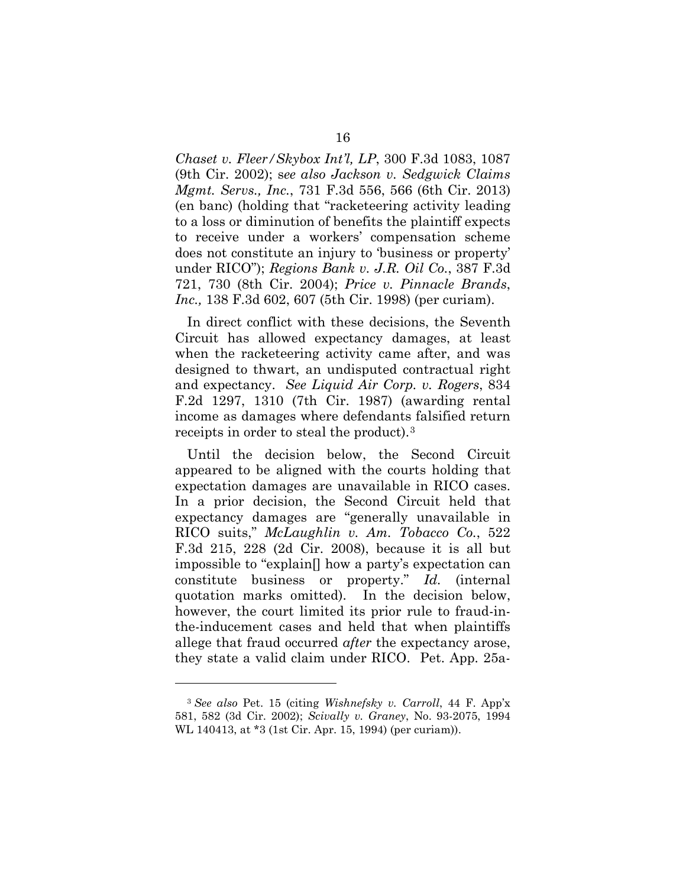*Chaset v. Fleer/Skybox Int'l, LP*, 300 F.3d 1083, 1087 (9th Cir. 2002); s*ee also Jackson v. Sedgwick Claims Mgmt. Servs., Inc.*, 731 F.3d 556, 566 (6th Cir. 2013) (en banc) (holding that "racketeering activity leading to a loss or diminution of benefits the plaintiff expects to receive under a workers' compensation scheme does not constitute an injury to 'business or property' under RICO"); *Regions Bank v. J.R. Oil Co.*, 387 F.3d 721, 730 (8th Cir. 2004); *Price v. Pinnacle Brands*, *Inc.,* 138 F.3d 602, 607 (5th Cir. 1998) (per curiam).

In direct conflict with these decisions, the Seventh Circuit has allowed expectancy damages, at least when the racketeering activity came after, and was designed to thwart, an undisputed contractual right and expectancy. *See Liquid Air Corp. v. Rogers*, 834 F.2d 1297, 1310 (7th Cir. 1987) (awarding rental income as damages where defendants falsified return receipts in order to steal the product).[3](#page-22-0) 

Until the decision below, the Second Circuit appeared to be aligned with the courts holding that expectation damages are unavailable in RICO cases. In a prior decision, the Second Circuit held that expectancy damages are "generally unavailable in RICO suits," *McLaughlin v. Am. Tobacco Co.*, 522 F.3d 215, 228 (2d Cir. 2008), because it is all but impossible to "explain[] how a party's expectation can constitute business or property." *Id.* (internal quotation marks omitted). In the decision below, however, the court limited its prior rule to fraud-inthe-inducement cases and held that when plaintiffs allege that fraud occurred *after* the expectancy arose, they state a valid claim under RICO. Pet. App. 25a-

 $\overline{a}$ 

<span id="page-22-0"></span><sup>3</sup> *See also* Pet. 15 (citing *Wishnefsky v. Carroll*, 44 F. App'x 581, 582 (3d Cir. 2002); *Scivally v. Graney*, No. 93-2075, 1994 WL 140413, at \*3 (1st Cir. Apr. 15, 1994) (per curiam)).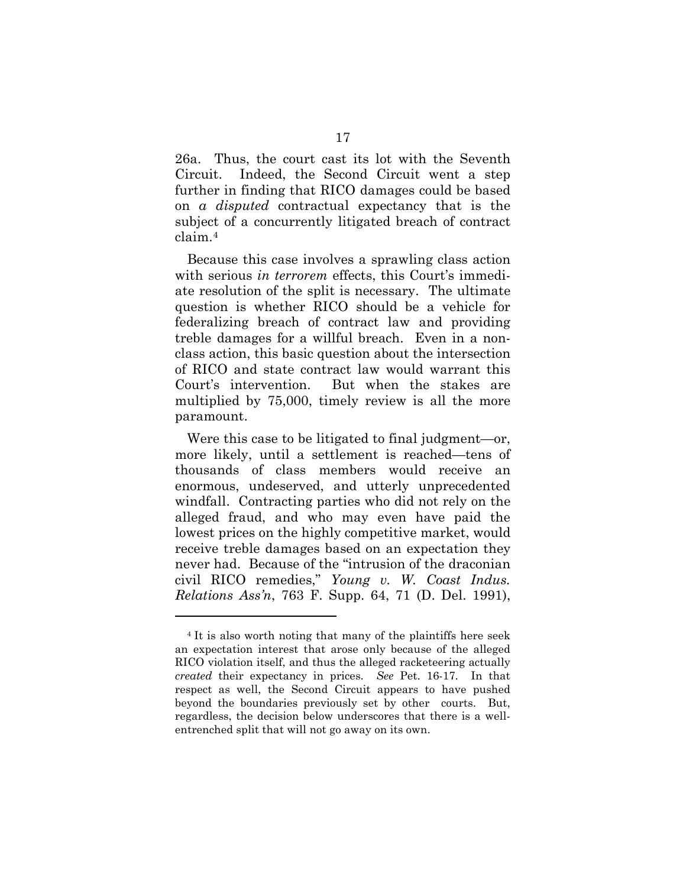26a. Thus, the court cast its lot with the Seventh Circuit. Indeed, the Second Circuit went a step further in finding that RICO damages could be based on *a disputed* contractual expectancy that is the subject of a concurrently litigated breach of contract claim.[4](#page-23-0)

Because this case involves a sprawling class action with serious *in terrorem* effects, this Court's immediate resolution of the split is necessary. The ultimate question is whether RICO should be a vehicle for federalizing breach of contract law and providing treble damages for a willful breach. Even in a nonclass action, this basic question about the intersection of RICO and state contract law would warrant this Court's intervention. But when the stakes are multiplied by 75,000, timely review is all the more paramount.

Were this case to be litigated to final judgment—or, more likely, until a settlement is reached—tens of thousands of class members would receive an enormous, undeserved, and utterly unprecedented windfall. Contracting parties who did not rely on the alleged fraud, and who may even have paid the lowest prices on the highly competitive market, would receive treble damages based on an expectation they never had. Because of the "intrusion of the draconian civil RICO remedies," *Young v. W. Coast Indus. Relations Ass'n*, 763 F. Supp. 64, 71 (D. Del. 1991),

 $\overline{a}$ 

<span id="page-23-0"></span><sup>4</sup> It is also worth noting that many of the plaintiffs here seek an expectation interest that arose only because of the alleged RICO violation itself, and thus the alleged racketeering actually *created* their expectancy in prices. *See* Pet. 16-17. In that respect as well, the Second Circuit appears to have pushed beyond the boundaries previously set by other courts. But, regardless, the decision below underscores that there is a wellentrenched split that will not go away on its own.